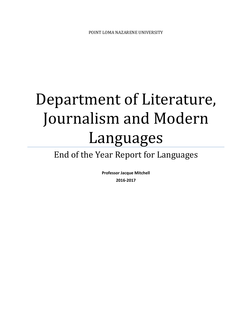# Department of Literature, Journalism and Modern Languages

## End of the Year Report for Languages

**Professor Jacque Mitchell 2016‐2017**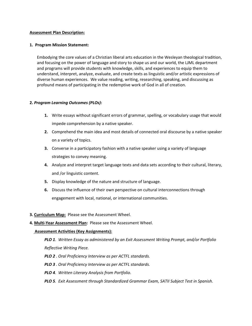#### **Assessment Plan Description:**

#### **1. Program Mission Statement:**

Embodying the core values of a Christian liberal arts education in the Wesleyan theological tradition, and focusing on the power of language and story to shape us and our world, the LJML department and programs will provide students with knowledge, skills, and experiences to equip them to understand, interpret, analyze, evaluate, and create texts as linguistic and/or artistic expressions of diverse human experiences. We value reading, writing, researching, speaking, and discussing as profound means of participating in the redemptive work of God in all of creation.

#### **2.** *Program Learning Outcomes (PLOs)***:**

- **1.** Write essays without significant errors of grammar, spelling, or vocabulary usage that would impede comprehension by a native speaker.
- **2.** Comprehend the main idea and most details of connected oral discourse by a native speaker on a variety of topics.
- **3.** Converse in a participatory fashion with a native speaker using a variety of language strategies to convey meaning.
- **4.** Analyze and interpret target language texts and data sets according to their cultural, literary, and /or linguistic content.
- **5.** Display knowledge of the nature and structure of language.
- **6.** Discuss the influence of their own perspective on cultural interconnections through engagement with local, national, or international communities.
- **3. Curriculum Map:** Please see the Assessment Wheel.
- **4. Multi‐Year Assessment Plan:** Please see the Assessment Wheel.

#### **Assessment Activities (Key Assignments):**

*PLO 1. Written Essay as administered by an Exit Assessment Writing Prompt, and/or Portfolio Reflective Writing Piece.*

- *PLO 2 . Oral Proficiency Interview as per ACTFL standards.*
- *PLO 3 . Oral Proficiency Interview as per ACTFL standards.*
- *PLO 4. Written Literary Analysis from Portfolio.*
- *PLO 5. Exit Assessment through Standardized Grammar Exam, SATII Subject Test in Spanish.*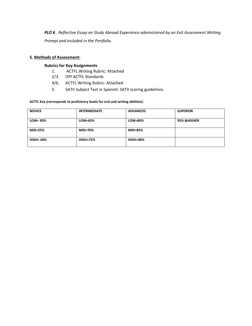*PLO 6 . Reflective Essay on Study Abroad Experience administered by an Exit Assessment Writing Prompt and included in the Portfolio.*

#### **5. Methods of Assessment:**

#### **Rubrics for Key Assignments**

- 1. ACTFL Writing Rubric: Attached
- 2/3. OPI ACTFL Standards
- 4/6. ACTFL Writing Rubric: Attached
- 5. SATII Subject Test in Spanish: SATII scoring guidelines.

#### **ACTFL Key (corresponds to proficiency levels for oral and writing abilities):**

| <b>NOVICE</b>    | <b>INTERMEDIATE</b> | <b>ADVANCED</b> | <b>SUPERIOR</b> |
|------------------|---------------------|-----------------|-----------------|
| $LOW = 50\%$     | LOW=65%             | LOW=80%         | 95% & HIGHER    |
| $MID=55%$        | <b>MID=70%</b>      | <b>MID=85%</b>  |                 |
| <b>HIGH= 60%</b> | <b>HIGH=75%</b>     | <b>HIGH=90%</b> |                 |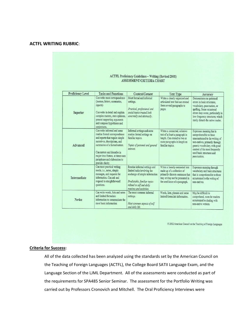#### **ACTFL WRITING RUBRIC**:

#### ACTFL Proficiency Guidelines - Writing (Revised 2001) ASSESSMENT CRITERIA CHART

| <b>Proficiency Level</b> | <b>Tasks and Functions</b>                                                                                                                                                                                                                                                                | Context/Content                                                                                                                                                                         | <b>Text Type</b>                                                                                                                                                      | Accuracy                                                                                                                                                                                                                                 |
|--------------------------|-------------------------------------------------------------------------------------------------------------------------------------------------------------------------------------------------------------------------------------------------------------------------------------------|-----------------------------------------------------------------------------------------------------------------------------------------------------------------------------------------|-----------------------------------------------------------------------------------------------------------------------------------------------------------------------|------------------------------------------------------------------------------------------------------------------------------------------------------------------------------------------------------------------------------------------|
| Superior                 | Can write most correspondence<br>(memos, letters, summaries,<br>reports)<br>Can write in detail and explain<br>complex matters, state opinions,<br>present supporting arguments<br>and compose hypotheses and<br>conjectures.                                                             | Most formal and informal<br>settings.<br>Practical, professional and<br>social topics treated both<br>concretely and abstractly.                                                        | Writes a clearly organized and<br>articulated text that can extend<br>from several paragraphs to<br>pages.                                                            | Demonstrates no patterned<br>errors in basic structures.<br>vocabulary, punctuation, or<br>spelling. Some occasional<br>errors may occur, particularly in<br>low-frequency structures, which<br>rarely disturb the native reader.        |
| Advanced                 | Can write informal and some<br>routine formal correspondence<br>and reports that require simple<br>narratives, descriptions, and<br>summaries of a factual nature<br>Can narrate and describe in<br>major time frames, at times uses<br>paraphrase and elaboration to<br>provide clarity. | Informal settings and some<br>routine formal settings on<br>familiar topics.<br>Topics of personal and general<br>interest.                                                             | Writes a connected, cohesive<br>text of at least a paragraph in<br>length. Can extend to two or<br>more paragraphs in length on<br>familiar topics.                   | Expresses meaning that is<br>comprehensible to those<br>unaccustomed to the writing of<br>non-natives, primarily through<br>generic vocabulary, with good<br>control of the most frequently<br>used basic structures and<br>punctuation. |
| Intermediate             | Can meet practical writing<br>needs, i.e., notes, simple<br>messages, and requests for<br>information. Can ask and<br>respond to straightforward<br>questions.                                                                                                                            | Routine informal settings and<br>limited tasks involving the<br>exchange of simple information<br>Predictable, familiar topics<br>related to self and daily<br>routines and activities. | Writes a loosely connected text<br>made up of a collection of<br>primarily discrete sentences that<br>may or may not be presented in<br>the semblance of a paragraph. | Expresses meaning through<br>vocabulary and basic structures<br>that is comprehensible to those<br>accustomed to the writing of<br>non-natives.                                                                                          |
| Novice                   | Can write words, lists and notes<br>and limited formulaic.<br>information to communicate the<br>most basic information                                                                                                                                                                    | The most common informal<br>settings.<br>Most common aspects of self<br>and daily life.                                                                                                 | Words, lists, phrases and some<br>limited formulaic information.                                                                                                      | May be difficult to<br>comprehend, even for readers<br>accustomed to dealing with<br>non-native writers                                                                                                                                  |

@ 2002 American Council on the Teaching of Foreign Languages

#### **Criteria for Success:**

All of the data collected has been analyzed using the standards set by the American Council on the Teaching of Foreign Languages (ACTFL), the College Board SATII Language Exam, and the Language Section of the LJML Department. All of the assessments were conducted as part of the requirements for SPA485 Senior Seminar. The assessment for the Portfolio Writing was carried out by Professors Cronovich and Mitchell. The Oral Proficiency Interviews were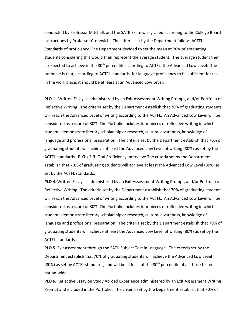conducted by Professor Mitchell, and the SATII Exam was graded according to the College Board instructions by Professor Cronovich. The criteria set by the Department follows ACTFL Standards of proficiency. The Department decided to set the mean at 70% of graduating students considering this would then represent the average student. The average student then is expected to achieve in the 80<sup>th</sup> percentile according to ACTFL, the Advanced Low Level. The rationale is that, according to ACTFL standards, for language proficiency to be sufficient for use in the work place, it should be at least at an Advanced Low Level.

**PLO 1**. Written Essay as administered by an Exit Assessment Writing Prompt, and/or Portfolio of Reflective Writing. The criteria set by the Department establish that 70% of graduating students will reach the Advanced Level of writing according to the ACTFL. An Advanced Low Level will be considered as a score of 80%. The Portfolio includes four pieces of reflective writing in which students demonstrate literary scholarship or research, cultural awareness, knowledge of language and professional preparation. The criteria set by the Department establish that 70% of graduating students will achieve at least the Advanced Low Level of writing (80%) as set by the ACTFL standards. **PLO's 2‐3**. Oral Proficiency Interview: The criteria set by the Department establish that 70% of graduating students will achieve at least the Advanced Low Level (80%) as set by the ACTFL standards.

**PLO 4**. Written Essay as administered by an Exit Assessment Writing Prompt, and/or Portfolio of Reflective Writing. The criteria set by the Department establish that 70% of graduating students will reach the Advanced Level of writing according to the ACTFL. An Advanced Low Level will be considered as a score of 80%. The Portfolio includes four pieces of reflective writing in which students demonstrate literary scholarship or research, cultural awareness, knowledge of language and professional preparation. The criteria set by the Department establish that 70% of graduating students will achieve at least the Advanced Low Level of writing (80%) as set by the ACTFL standards.

**PLO 5**. Exit assessment through the SATII Subject Test in Language. The criteria set by the Department establish that 70% of graduating students will achieve the Advanced Low Level (80%) as set by ACTFL standards, and will be at least at the  $80<sup>th</sup>$  percentile of all those tested nation‐wide.

**PLO 6**. Reflective Essay on Study Abroad Experience administered by an Exit Assessment Writing Prompt and included in the Portfolio. The criteria set by the Department establish that 70% of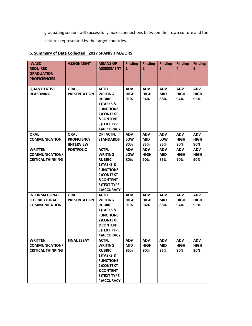graduating seniors will successfully make connections between their own culture and the cultures represented by the target countries.

### **6**. **Summary of Data Collected: 2017 SPANISH MAJORS**

| <b>WASC</b><br><b>REQUIRED</b><br><b>GRADUATION</b><br><b>PROFICIENCIES</b>                                  | <b>ASSIGNMENT</b>                       | <b>MEANS OF</b><br><b>ASSESSMENT</b>                                                                                                                                                    | <b>Finding</b><br>$\mathbf{1}$                        | <b>Finding</b><br>$\overline{2}$                              | <b>Finding</b><br>3                                         | <b>Finding</b><br>4                                           | <b>Finding</b><br>5                                           |
|--------------------------------------------------------------------------------------------------------------|-----------------------------------------|-----------------------------------------------------------------------------------------------------------------------------------------------------------------------------------------|-------------------------------------------------------|---------------------------------------------------------------|-------------------------------------------------------------|---------------------------------------------------------------|---------------------------------------------------------------|
|                                                                                                              |                                         |                                                                                                                                                                                         |                                                       |                                                               |                                                             |                                                               |                                                               |
| <b>QUANTITATIVE</b><br><b>REASONING</b>                                                                      | <b>ORAL</b><br><b>PRESENTATION</b>      | <b>ACTFL</b><br><b>WRITING</b><br><b>RUBRIC:</b><br>1)TASKS &<br><b>FUNCTIONS</b><br>2) CONTEXT<br><b>&amp;CONTENT</b><br>3) TEXT TYPE<br>4) ACCURACY                                   | <b>ADV</b><br><b>HIGH</b><br>91%                      | <b>ADV</b><br><b>HIGH</b><br>94%                              | <b>ADV</b><br><b>MID</b><br>88%                             | <b>ADV</b><br><b>HIGH</b><br>94%                              | <b>ADV</b><br><b>HIGH</b><br>95%                              |
| <b>ORAL</b>                                                                                                  | <b>ORAL</b>                             | <b>OPI ACTFL</b>                                                                                                                                                                        | <b>ADV</b>                                            | <b>ADV</b>                                                    | <b>ADV</b>                                                  | <b>ADV</b>                                                    | <b>ADV</b>                                                    |
| <b>COMMUNICATION</b>                                                                                         | <b>PROFICIENCY</b><br><b>IINTERVIEW</b> | <b>STANDARDS</b>                                                                                                                                                                        | LOW<br>80%                                            | <b>MID</b><br>85%                                             | LOW<br>85%                                                  | <b>HIGH</b><br>90%                                            | <b>HIGH</b><br>90%                                            |
| <b>WRITTEN</b><br><b>COMMUNICATION/</b><br><b>CRITICAL THINKING</b><br><b>INFORMATIONAL</b><br>LITERACY/ORAL | <b>PORTFOLIO</b><br><b>ORAL</b>         | <b>ACTFL</b><br><b>WRITING</b><br><b>RUBRIC:</b><br>1)TASKS &<br><b>FUNCTIONS</b><br>2) CONTEXT<br><b>&amp;CONTENT</b><br>3) TEXT TYPE<br>4) ACCURACY<br><b>ACTFL</b><br><b>WRITING</b> | <b>ADV</b><br>LOW<br>80%<br><b>ADV</b><br><b>HIGH</b> | <b>ADV</b><br><b>HIGH</b><br>90%<br><b>ADV</b><br><b>HIGH</b> | <b>ADV</b><br><b>MID</b><br>85%<br><b>ADV</b><br><b>MID</b> | <b>ADV</b><br><b>HIGH</b><br>90%<br><b>ADV</b><br><b>HIGH</b> | <b>ADV</b><br><b>HIGH</b><br>90%<br><b>ADV</b><br><b>HIGH</b> |
| <b>COMMUNICATION</b>                                                                                         | <b>PRESENTATION</b>                     | <b>RUBRIC:</b><br>1)TASKS &<br><b>FUNCTIONS</b><br>2) CONTEXT<br><b>&amp;CONTENT</b><br>3) TEXT TYPE<br>4) ACCURACY                                                                     | 91%                                                   | 94%                                                           | 88%                                                         | 94%                                                           | 95%                                                           |
| <b>WRITTEN</b><br>COMMUNICATION/<br><b>CRITICAL THINKING</b>                                                 | <b>FINAL ESSAY</b>                      | <b>ACTFL</b><br><b>WRITING</b><br><b>RUBRIC:</b><br>1)TASKS &<br><b>FUNCTIONS</b><br>2) CONTEXT<br><b>&amp;CONTENT</b><br>3) TEXT TYPE<br>4) ACCURACY                                   | <b>ADV</b><br><b>MID</b><br>85%                       | <b>ADV</b><br><b>HIGH</b><br>90%                              | <b>ADV</b><br><b>MID</b><br>85%                             | <b>ADV</b><br><b>HIGH</b><br>90%                              | ADV<br>HIGH<br>90%                                            |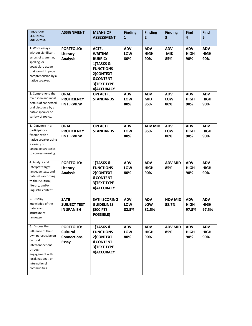| <b>PROGRAM</b><br><b>LEARNING</b><br><b>OUTCOMES</b>                                                                                                                             | <b>ASSIGNMENT</b>                                            | <b>MEANS OF</b><br><b>ASSESSMENT</b>                                                                                                                        | <b>Finding</b><br>$\mathbf{1}$ | <b>Finding</b><br>$\overline{2}$ | <b>Finding</b><br>3             | <b>Find</b><br>4                   | <b>Find</b><br>5                   |
|----------------------------------------------------------------------------------------------------------------------------------------------------------------------------------|--------------------------------------------------------------|-------------------------------------------------------------------------------------------------------------------------------------------------------------|--------------------------------|----------------------------------|---------------------------------|------------------------------------|------------------------------------|
| 1. Write essays<br>without significant<br>errors of grammar,<br>spelling, or<br>vocabulary usage<br>that would impede<br>comprehension by a<br>native speaker.                   | <b>PORTFOLIO:</b><br>Literary<br><b>Analysis</b>             | <b>ACTFL</b><br><b>WRITING</b><br><b>RUBRIC:</b><br>1)TASKS &<br><b>FUNCTIONS</b><br>2) CONTEXT<br><b>&amp;CONTENT</b><br><b>3)TEXT TYPE</b><br>4) ACCURACY | <b>ADV</b><br>LOW<br>80%       | <b>ADV</b><br><b>HIGH</b><br>90% | <b>ADV</b><br><b>MID</b><br>85% | <b>ADV</b><br><b>HIGH</b><br>90%   | <b>ADV</b><br><b>HIGH</b><br>90%   |
| 2. Comprehend the<br>main idea and most<br>details of connected<br>oral discourse by a<br>native speaker on<br>variety of topics.                                                | <b>ORAL</b><br><b>PROFICIENCY</b><br><b>IINTERVIEW</b>       | <b>OPI ACTFL</b><br><b>STANDARDS</b>                                                                                                                        | <b>ADV</b><br>LOW<br>80%       | <b>ADV</b><br><b>MID</b><br>85%  | <b>ADV</b><br>LOW<br>80%        | <b>ADV</b><br><b>HIGH</b><br>90%   | <b>ADV</b><br><b>HIGH</b><br>90%   |
| 3. Converse in a<br>participatory<br>fashion with a<br>native speaker using<br>a variety of<br>language strategies<br>to convey meaning.                                         | <b>ORAL</b><br><b>PROFICIENCY</b><br><b>IINTERVIEW</b>       | <b>OPI ACTFL</b><br><b>STANDARDS</b>                                                                                                                        | <b>ADV</b><br>LOW<br>80%       | <b>ADV MID</b><br>85%            | <b>ADV</b><br>LOW<br>80%        | <b>ADV</b><br><b>HIGH</b><br>90%   | <b>ADV</b><br><b>HIGH</b><br>90%   |
| 4. Analyze and<br>Interpret target<br>language texts and<br>data sets according<br>to their cultural,<br>literary, and/or<br>linguistic content.                                 | <b>PORTFOLIO:</b><br>Literary<br><b>Analysis</b>             | 1)TASKS &<br><b>FUNCTIONS</b><br>2) CONTEXT<br><b>&amp;CONTENT</b><br>3) TEXT TYPE<br>4) ACCURACY                                                           | <b>ADV</b><br>LOW<br>80%       | <b>ADV</b><br><b>HIGH</b><br>90% | <b>ADV MID</b><br>85%           | <b>ADV</b><br><b>HIGH</b><br>90%   | <b>ADV</b><br><b>HIGH</b><br>90%   |
| 5. Display<br>knowledge of the<br>nature and<br>structure of<br>language.                                                                                                        | <b>SATII</b><br><b>SUBJECT TEST</b><br><b>IN SPANISH</b>     | <b>SATII SCORING</b><br><b>GUIDELINES</b><br><b>(800 PTS</b><br><b>POSSIBLE)</b>                                                                            | <b>ADV</b><br>LOW<br>82.5%     | <b>ADV</b><br>LOW<br>82.5%       | <b>NOV MID</b><br>58.7%         | <b>ADV</b><br><b>HIGH</b><br>97.5% | <b>ADV</b><br><b>HIGH</b><br>97.5% |
| 6. Discuss the<br>influence of their<br>own perspective on<br>cultural<br>interconnections<br>through<br>engagement with<br>local, national, or<br>international<br>communities. | <b>PORTFOLIO:</b><br>Cultural<br><b>Connections</b><br>Essay | 1)TASKS &<br><b>FUNCTIONS</b><br>2) CONTEXT<br><b>&amp;CONTENT</b><br>3) TEXT TYPE<br>4) ACCURACY                                                           | <b>ADV</b><br>LOW<br>80%       | <b>ADV</b><br><b>HIGH</b><br>90% | <b>ADV MID</b><br>85%           | <b>ADV</b><br><b>HIGH</b><br>90%   | <b>ADV</b><br><b>HIGH</b><br>90%   |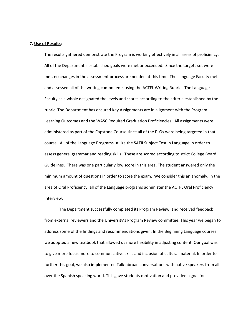#### **7. Use of Results:**

The results gathered demonstrate the Program is working effectively in all areas of proficiency. All of the Department's established goals were met or exceeded. Since the targets set were met, no changes in the assessment process are needed at this time. The Language Faculty met and assessed all of the writing components using the ACTFL Writing Rubric. The Language Faculty as a whole designated the levels and scores according to the criteria established by the rubric. The Department has ensured Key Assignments are in alignment with the Program Learning Outcomes and the WASC Required Graduation Proficiencies. All assignments were administered as part of the Capstone Course since all of the PLOs were being targeted in that course. All of the Language Programs utilize the SATII Subject Test in Language in order to assess general grammar and reading skills. These are scored according to strict College Board Guidelines. There was one particularly low score in this area. The student answered only the minimum amount of questions in order to score the exam. We consider this an anomaly. In the area of Oral Proficiency, all of the Language programs administer the ACTFL Oral Proficiency Interview.

The Department successfully completed its Program Review, and received feedback from external reviewers and the University's Program Review committee. This year we began to address some of the findings and recommendations given. In the Beginning Language courses we adopted a new textbook that allowed us more flexibility in adjusting content. Our goal was to give more focus more to communicative skills and inclusion of cultural material. In order to further this goal, we also implemented Talk‐abroad conversations with native speakers from all over the Spanish speaking world. This gave students motivation and provided a goal for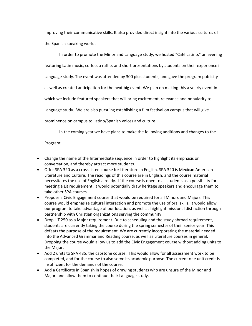improving their communicative skills. It also provided direct insight into the various cultures of the Spanish speaking world.

In order to promote the Minor and Language study, we hosted "Café Latino," an evening featuring Latin music, coffee, a raffle, and short presentations by students on their experience in Language study. The event was attended by 300 plus students, and gave the program publicity as well as created anticipation for the next big event. We plan on making this a yearly event in which we include featured speakers that will bring excitement, relevance and popularity to Language study. We are also pursuing establishing a film festival on campus that will give prominence on campus to Latino/Spanish voices and culture.

In the coming year we have plans to make the following additions and changes to the

Program:

- Change the name of the Intermediate sequence in order to highlight its emphasis on conversation, and thereby attract more students.
- Offer SPA 320 as a cross listed course for Literature in English. SPA 320 is Mexican American Literature and Culture. The readings of this course are in English, and the course material necessitates the use of English already. If the course is open to all students as a possibility for meeting a Lit requirement, it would potentially draw heritage speakers and encourage them to take other SPA courses.
- Propose a Civic Engagement course that would be required for all Minors and Majors. This course would emphasize cultural interaction and promote the use of oral skills. It would allow our program to take advantage of our location, as well as highlight missional distinction through partnership with Christian organizations serving the community.
- Drop LIT 250 as a Major requirement. Due to scheduling and the study abroad requirement, students are currently taking the course during the spring semester of their senior year. This defeats the purpose of the requirement. We are currently incorporating the material needed into the Advanced Grammar and Reading course, as well as Literature courses in general. Dropping the course would allow us to add the Civic Engagement course without adding units to the Major.
- Add 2 units to SPA 485, the capstone course. This would allow for all assessment work to be completed, and for the course to also serve its academic purpose. The current one unit credit is insufficient for the demands of the course.
- Add a Certificate in Spanish in hopes of drawing students who are unsure of the Minor and Major, and allow them to continue their Language study.